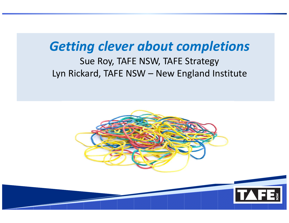#### Getting clever about completions

#### Sue Roy, TAFE NSW, TAFE StrategyLyn Rickard, TAFE NSW – New England Institute



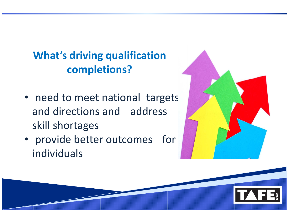#### What's driving qualification completions?

- need to meet national targets and directions and address skill shortages
- provide better outcomes for individuals



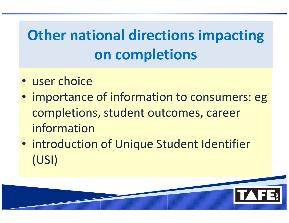# Other national directions impacting on completions

- user choice
- importance of information to consumers: egcompletions, student outcomes, career information
- introduction of Unique Student Identifier (USI)

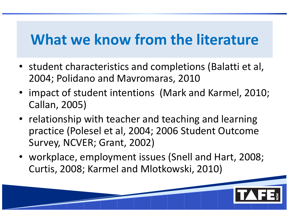## What we know from the literature

- student characteristics and completions (Balatti et al, 2004; Polidano and Mavromaras, 2010
- impact of student intentions (Mark and Karmel, 2010; Callan, 2005)
- relationship with teacher and teaching and learning practice (Polesel et al, 2004; 2006 Student Outcome Survey, NCVER; Grant, 2002)
- workplace, employment issues (Snell and Hart, 2008; Curtis, 2008; Karmel and Mlotkowski, 2010)

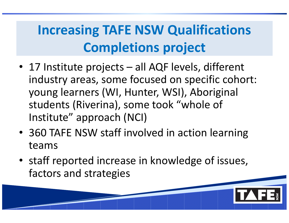## Increasing TAFE NSW Qualifications Completions project

- 17 Institute projects all AQF levels, different industry areas, some focused on specific cohort: young learners (WI, Hunter, WSI), Aboriginal students (Riverina), some took "whole of Institute" approach (NCI)
- 360 TAFE NSW staff involved in action learning teams
- staff reported increase in knowledge of issues, factors and strategies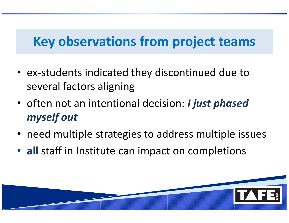### Key observations from project teams

- ex-students indicated they discontinued due to several factors aligning
- often not an intentional decision: *I just phased* myself out
- need multiple strategies to address multiple issues
- all staff in Institute can impact on completions

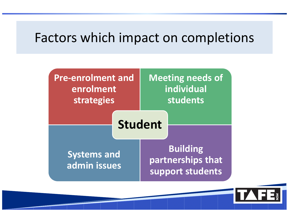### Factors which impact on completions

| Pre-enrolment and<br>enrolment<br>strategies |                | <b>Meeting needs of</b><br>individual<br>students        |  |
|----------------------------------------------|----------------|----------------------------------------------------------|--|
|                                              | <b>Student</b> |                                                          |  |
| <b>Systems and</b><br>admin issues           |                | <b>Building</b><br>partnerships that<br>support students |  |

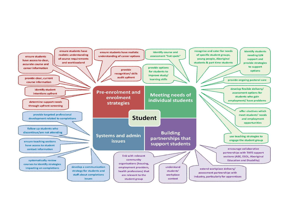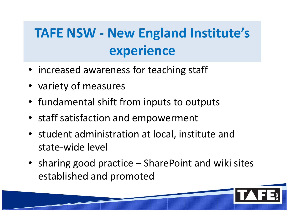## TAFE NSW - New England Institute's experience

- increased awareness for teaching staff
- variety of measures
- fundamental shift from inputs to outputs
- staff satisfaction and empowerment
- student administration at local, institute and state-wide level
- sharing good practice SharePoint and wiki sites established and promoted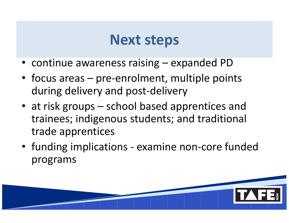## Next steps

- continue awareness raising expanded PD
- focus areas pre-enrolment, multiple points during delivery and post-delivery
- at risk groups school based apprentices and trainees; indigenous students; and traditional trade apprentices
- funding implications examine non-core funded programs